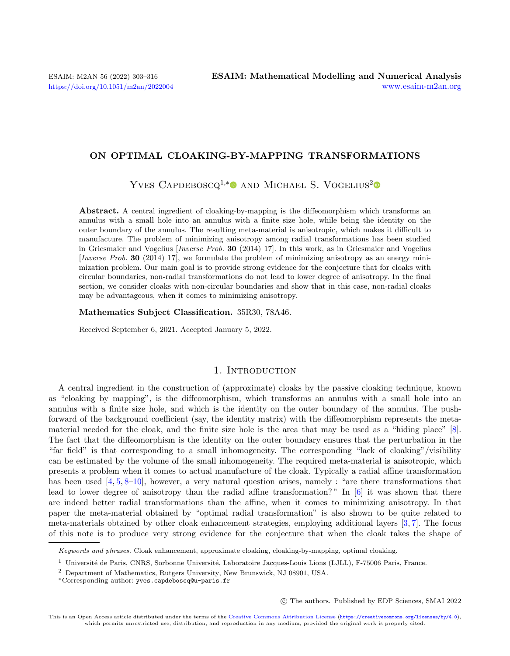#### ON OPTIMAL CLOAKING-BY-MAPPING TRANSFORMATIONS

YVES CAPDEBOSCQ<sup>1,[\\*](https://orcid.org/0000-0003-1271-867X)</sup><sup>0</sup> AND MICHAEL S. VOGELIUS<sup>[2](https://orcid.org/0000-0001-6873-6995)</sup><sup>0</sup>

Abstract. A central ingredient of cloaking-by-mapping is the diffeomorphism which transforms an annulus with a small hole into an annulus with a finite size hole, while being the identity on the outer boundary of the annulus. The resulting meta-material is anisotropic, which makes it difficult to manufacture. The problem of minimizing anisotropy among radial transformations has been studied in Griesmaier and Vogelius [Inverse Prob. 30 (2014) 17]. In this work, as in Griesmaier and Vogelius [Inverse Prob. 30 (2014) 17], we formulate the problem of minimizing anisotropy as an energy minimization problem. Our main goal is to provide strong evidence for the conjecture that for cloaks with circular boundaries, non-radial transformations do not lead to lower degree of anisotropy. In the final section, we consider cloaks with non-circular boundaries and show that in this case, non-radial cloaks may be advantageous, when it comes to minimizing anisotropy.

Mathematics Subject Classification. 35R30, 78A46.

Received September 6, 2021. Accepted January 5, 2022.

## 1. INTRODUCTION

A central ingredient in the construction of (approximate) cloaks by the passive cloaking technique, known as "cloaking by mapping", is the diffeomorphism, which transforms an annulus with a small hole into an annulus with a finite size hole, and which is the identity on the outer boundary of the annulus. The pushforward of the background coefficient (say, the identity matrix) with the diffeomorphism represents the metamaterial needed for the cloak, and the finite size hole is the area that may be used as a "hiding place" [\[8\]](#page-12-0). The fact that the diffeomorphism is the identity on the outer boundary ensures that the perturbation in the "far field" is that corresponding to a small inhomogeneity. The corresponding "lack of cloaking"/visibility can be estimated by the volume of the small inhomogeneity. The required meta-material is anisotropic, which presents a problem when it comes to actual manufacture of the cloak. Typically a radial affine transformation has been used [\[4,](#page-12-1) [5,](#page-12-2) [8](#page-12-0)[–10\]](#page-13-0), however, a very natural question arises, namely : "are there transformations that lead to lower degree of anisotropy than the radial affine transformation? " In [\[6\]](#page-12-3) it was shown that there are indeed better radial transformations than the affine, when it comes to minimizing anisotropy. In that paper the meta-material obtained by "optimal radial transformation" is also shown to be quite related to meta-materials obtained by other cloak enhancement strategies, employing additional layers [\[3,](#page-12-4) [7\]](#page-12-5). The focus of this note is to produce very strong evidence for the conjecture that when the cloak takes the shape of

Keywords and phrases. Cloak enhancement, approximate cloaking, cloaking-by-mapping, optimal cloaking.

○c The authors. Published by EDP Sciences, SMAI 2022

<sup>&</sup>lt;sup>1</sup> Université de Paris, CNRS, Sorbonne Université, Laboratoire Jacques-Louis Lions (LJLL), F-75006 Paris, France.

<sup>2</sup> Department of Mathematics, Rutgers University, New Brunswick, NJ 08901, USA.

<sup>\*</sup>Corresponding author: [yves.capdeboscq@u-paris.fr](mailto:yves.capdeboscq@u-paris.fr)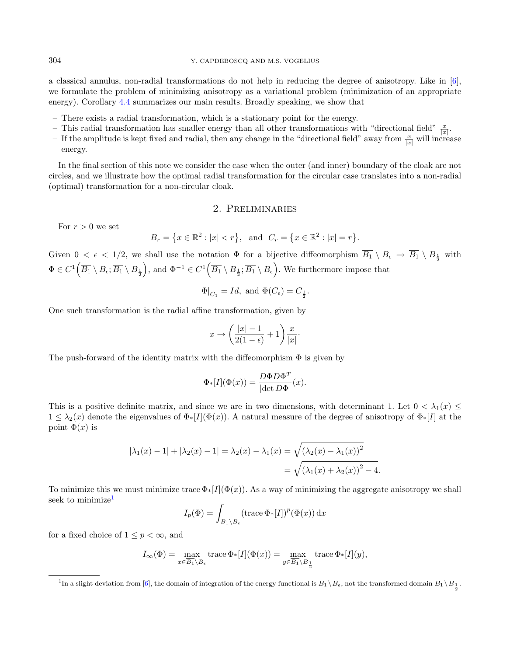a classical annulus, non-radial transformations do not help in reducing the degree of anisotropy. Like in [\[6\]](#page-12-3), we formulate the problem of minimizing anisotropy as a variational problem (minimization of an appropriate energy). Corollary [4.4](#page-10-0) summarizes our main results. Broadly speaking, we show that

- There exists a radial transformation, which is a stationary point for the energy.
- This radial transformation has smaller energy than all other transformations with "directional field"  $\frac{x}{|x|}$ .
- If the amplitude is kept fixed and radial, then any change in the "directional field" away from  $\frac{x}{|x|}$  will increase energy.

In the final section of this note we consider the case when the outer (and inner) boundary of the cloak are not circles, and we illustrate how the optimal radial transformation for the circular case translates into a non-radial (optimal) transformation for a non-circular cloak.

## 2. Preliminaries

For  $r > 0$  we set

$$
B_r = \{x \in \mathbb{R}^2 : |x| < r\}
$$
, and  $C_r = \{x \in \mathbb{R}^2 : |x| = r\}$ .

Given  $0 < \epsilon < 1/2$ , we shall use the notation  $\Phi$  for a bijective diffeomorphism  $B_1 \setminus B_{\epsilon} \to B_1 \setminus B_{\frac{1}{2}}$  with  $\Phi \in C^1(\overline{B_1} \setminus B_{\epsilon}; \overline{B_1} \setminus B_{\frac{1}{2}}),$  and  $\Phi^{-1} \in C^1(\overline{B_1} \setminus B_{\frac{1}{2}}; \overline{B_1} \setminus B_{\epsilon}).$  We furthermore impose that

$$
\Phi|_{C_1}=Id, \text{ and } \Phi(C_{\epsilon})=C_{\frac{1}{2}}.
$$

One such transformation is the radial affine transformation, given by

$$
x \to \left(\frac{|x|-1}{2(1-\epsilon)}+1\right)\frac{x}{|x|}.
$$

The push-forward of the identity matrix with the diffeomorphism  $\Phi$  is given by

$$
\Phi_*[I](\Phi(x)) = \frac{D\Phi D\Phi^T}{|\det D\Phi|}(x).
$$

This is a positive definite matrix, and since we are in two dimensions, with determinant 1. Let  $0 < \lambda_1(x) \le$  $1 \leq \lambda_2(x)$  denote the eigenvalues of  $\Phi_*[I](\Phi(x))$ . A natural measure of the degree of anisotropy of  $\Phi_*[I]$  at the point  $\Phi(x)$  is

$$
|\lambda_1(x) - 1| + |\lambda_2(x) - 1| = \lambda_2(x) - \lambda_1(x) = \sqrt{(\lambda_2(x) - \lambda_1(x))^2}
$$
  
=  $\sqrt{(\lambda_1(x) + \lambda_2(x))^2 - 4}.$ 

<span id="page-1-0"></span>To minimize this we must minimize trace  $\Phi_*[I](\Phi(x))$ . As a way of minimizing the aggregate anisotropy we shall seek to minimize<sup>[1](#page-1-0)</sup>

$$
I_p(\Phi) = \int_{B_1 \setminus B_\epsilon} (\text{trace } \Phi_*[I])^p(\Phi(x)) \, dx
$$

for a fixed choice of  $1 \leq p < \infty$ , and

$$
I_{\infty}(\Phi) = \max_{x \in \overline{B_1} \backslash B_{\epsilon}} \operatorname{trace} \Phi_*[I](\Phi(x)) = \max_{y \in \overline{B_1} \backslash B_{\frac{1}{2}}} \operatorname{trace} \Phi_*[I](y),
$$

<sup>&</sup>lt;sup>1</sup>In a slight deviation from [\[6\]](#page-12-3), the domain of integration of the energy functional is  $B_1 \setminus B_\epsilon$ , not the transformed domain  $B_1 \setminus B_{\frac{1}{2}}$ .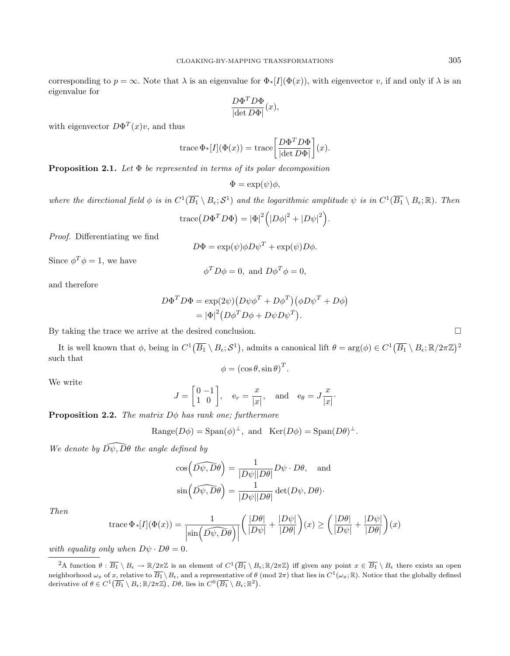corresponding to  $p = \infty$ . Note that  $\lambda$  is an eigenvalue for  $\Phi_*[I](\Phi(x))$ , with eigenvector v, if and only if  $\lambda$  is an eigenvalue for

$$
\frac{D\Phi^T D\Phi}{|\text{det } D\Phi|}(x),
$$

with eigenvector  $D\Phi^{T}(x)v$ , and thus

trace 
$$
\Phi
$$
<sup>\*</sup>[*I*]( $\Phi$ (*x*)) = trace  $\left[\frac{D\Phi^T D\Phi}{|\text{det } D\Phi|}\right]$ (*x*).

**Proposition 2.1.** Let  $\Phi$  be represented in terms of its polar decomposition

$$
\Phi = \exp(\psi)\phi,
$$

where the directional field  $\phi$  is in  $C^1(\overline{B_1} \setminus B_\epsilon; \mathcal{S}^1)$  and the logarithmic amplitude  $\psi$  is in  $C^1(\overline{B_1} \setminus B_\epsilon; \mathbb{R})$ . Then

$$
\operatorname{trace}(D\Phi^T D\Phi) = |\Phi|^2 (|D\phi|^2 + |D\psi|^2).
$$

Proof. Differentiating we find

$$
D\Phi = \exp(\psi)\phi D\psi^T + \exp(\psi)D\phi.
$$

Since  $\phi^T \phi = 1$ , we have

$$
\phi^T D \phi = 0, \text{ and } D \phi^T \phi = 0,
$$

and therefore

$$
D\Phi^T D\Phi = \exp(2\psi) (D\psi\phi^T + D\phi^T) (\phi D\psi^T + D\phi)
$$
  
=  $|\Phi|^2 (D\phi^T D\phi + D\psi D\psi^T).$ 

By taking the trace we arrive at the desired conclusion.  $\Box$ 

It is well known that  $\phi$ , being in  $C^1(\overline{B_1} \setminus B_\epsilon; S^1)$ , admits a canonical lift  $\theta = \arg(\phi) \in C^1(\overline{B_1} \setminus B_\epsilon; \mathbb{R}/2\pi\mathbb{Z})^2$  $\theta = \arg(\phi) \in C^1(\overline{B_1} \setminus B_\epsilon; \mathbb{R}/2\pi\mathbb{Z})^2$  $\theta = \arg(\phi) \in C^1(\overline{B_1} \setminus B_\epsilon; \mathbb{R}/2\pi\mathbb{Z})^2$ such that

$$
\phi = (\cos \theta, \sin \theta)^T.
$$

We write

$$
J = \begin{bmatrix} 0 & -1 \\ 1 & 0 \end{bmatrix}, \quad e_r = \frac{x}{|x|}, \quad \text{and} \quad e_\theta = J\frac{x}{|x|}.
$$

**Proposition 2.2.** The matrix  $D\phi$  has rank one; furthermore

Range
$$
(D\phi)
$$
 = Span $(\phi)^{\perp}$ , and Ker $(D\phi)$  = Span $(D\theta)^{\perp}$ .

<span id="page-2-0"></span>We denote by  $\widehat{D\psi, D\theta}$  the angle defined by

$$
\cos\left(\widehat{D\psi},\widehat{D\theta}\right) = \frac{1}{|D\psi||D\theta|}D\psi \cdot D\theta, \text{ and}
$$

$$
\sin\left(\widehat{D\psi},\widehat{D\theta}\right) = \frac{1}{|D\psi||D\theta|} \det(D\psi,D\theta).
$$

Then

trace 
$$
\Phi
$$
 \*[*I*]( $\Phi(x)$ ) =  $\frac{1}{\left|\sin\left(\widehat{D\psi},\widehat{D\theta}\right)\right|}\left(\frac{|D\theta|}{|D\psi|} + \frac{|D\psi|}{|D\theta|}\right)(x) \ge \left(\frac{|D\theta|}{|D\psi|} + \frac{|D\psi|}{|D\theta|}\right)(x)$ 

with equality only when  $D\psi \cdot D\theta = 0$ .

 $\overline{P_A}$  function  $\theta : \overline{B_1} \setminus B_\epsilon \to \mathbb{R}/2\pi\mathbb{Z}$  is an element of  $C^1(\overline{B_1} \setminus B_\epsilon; \mathbb{R}/2\pi\mathbb{Z})$  iff given any point  $x \in \overline{B_1} \setminus B_\epsilon$  there exists an open neighborhood  $\omega_x$  of x, relative to  $\overline{B_1} \setminus B_6$ , and a representative of  $\theta$  (mod  $2\pi$ ) that lies in  $C^1(\omega_x; \mathbb{R})$ . Notice that the globally defined derivative of  $\theta \in C^1(\overline{B_1} \setminus B_\epsilon; \mathbb{R}/2\pi\mathbb{Z})$ ,  $D\theta$ , lies in  $C^0(\overline{B_1} \setminus B_\epsilon; \mathbb{R}^2)$ .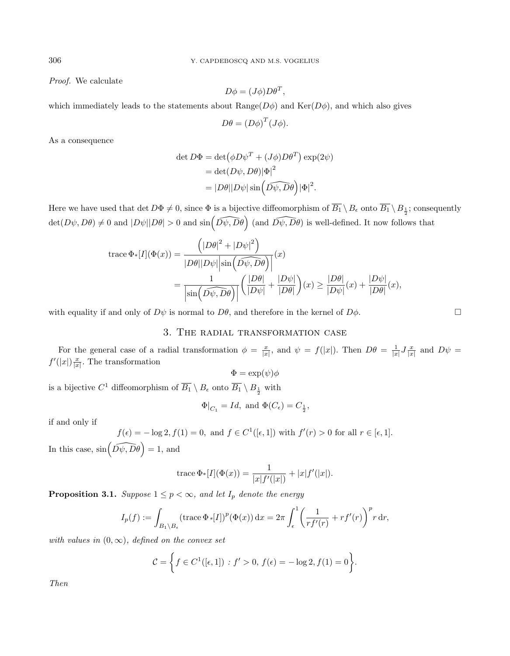Proof. We calculate

$$
D\phi = (J\phi)D\theta^T,
$$

which immediately leads to the statements about Range( $D\phi$ ) and Ker( $D\phi$ ), and which also gives

$$
D\theta = (D\phi)^T (J\phi).
$$

As a consequence

$$
\det D\Phi = \det(\phi D\psi^T + (J\phi)D\theta^T) \exp(2\psi)
$$
  
= 
$$
\det(D\psi, D\theta)|\Phi|^2
$$
  
= 
$$
|D\theta||D\psi| \sin(\widehat{D\psi}, \widehat{D\theta})|\Phi|^2.
$$

Here we have used that det  $D\Phi \neq 0$ , since  $\Phi$  is a bijective diffeomorphism of  $B_1 \setminus B_\epsilon$  onto  $B_1 \setminus B_{\frac{1}{2}}$ ; consequently  $\det(D\psi, D\theta) \neq 0$  and  $|D\psi||D\theta| > 0$  and  $\sin(\widehat{D\psi}, \widehat{D\theta})$  (and  $\widehat{D\psi}, \widehat{D\theta})$ ) is well-defined. It now follows that

$$
\begin{split} \operatorname{trace} \Phi_{*}[I](\Phi(x)) &= \frac{\left(|D\theta|^{2} + |D\psi|^{2}\right)}{|D\theta||D\psi| \left|\sin\left(\widehat{D\psi}, \overline{D\theta}\right)\right|}(x) \\ &= \frac{1}{\left|\sin\left(\widehat{D\psi}, \overline{D\theta}\right)\right|} \left(\frac{|D\theta|}{|D\psi|} + \frac{|D\psi|}{|D\theta|}\right)(x) \ge \frac{|D\theta|}{|D\psi|}(x) + \frac{|D\psi|}{|D\theta|}(x), \end{split}
$$

with equality if and only of  $D\psi$  is normal to  $D\theta$ , and therefore in the kernel of  $D\phi$ .

## 3. The radial transformation case

For the general case of a radial transformation  $\phi = \frac{x}{|x|}$ , and  $\psi = f(|x|)$ . Then  $D\theta = \frac{1}{|x|} J \frac{x}{|x|}$  and  $D\psi =$  $f'(|x|) \frac{x}{|x|}$ . The transformation

$$
\Phi = \exp(\psi)\phi
$$

is a bijective  $C^1$  diffeomorphism of  $\overline{B_1} \setminus B_{\epsilon}$  onto  $\overline{B_1} \setminus B_{\frac{1}{2}}$  with

$$
\Phi|_{C_1} = Id
$$
, and  $\Phi(C_{\epsilon}) = C_{\frac{1}{2}}$ ,

if and only if

$$
f(\epsilon) = -\log 2, f(1) = 0, \text{ and } f \in C^1([\epsilon, 1]) \text{ with } f'(r) > 0 \text{ for all } r \in [\epsilon, 1].
$$
  
In this case,  $\sin(\widehat{D\psi}, \widehat{D\theta}) = 1$ , and

trace 
$$
\Phi
$$
<sup>\*</sup>[*I*]( $\Phi$ (*x*)) =  $\frac{1}{|x|f'(|x|)}$  +  $|x|f'(|x|)$ .

<span id="page-3-0"></span>**Proposition 3.1.** Suppose  $1 \leq p < \infty$ , and let  $I_p$  denote the energy

$$
I_p(f) := \int_{B_1 \setminus B_\epsilon} (\text{trace } \Phi \ast [I])^p (\Phi(x)) dx = 2\pi \int_{\epsilon}^1 \left( \frac{1}{r f'(r)} + r f'(r) \right)^p r dr,
$$

with values in  $(0, \infty)$ , defined on the convex set

$$
C = \left\{ f \in C^1([\epsilon, 1]) : f' > 0, f(\epsilon) = -\log 2, f(1) = 0 \right\}.
$$

Then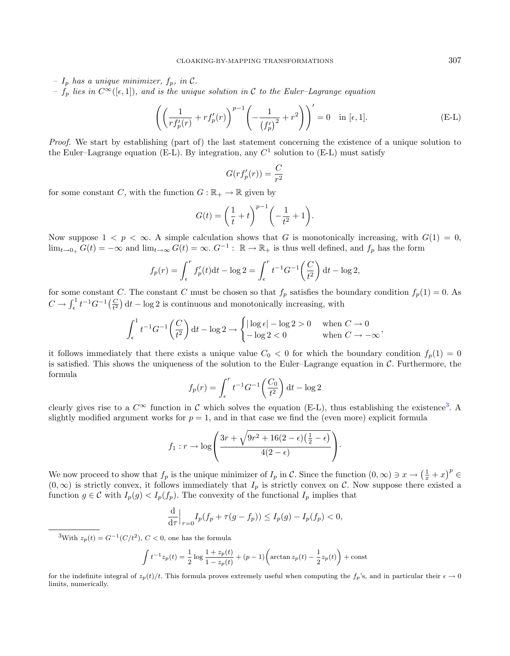- $I_p$  has a unique minimizer,  $f_p$ , in C.
- $f_p$  lies in  $C^{\infty}([\epsilon, 1])$ , and is the unique solution in C to the Euler–Lagrange equation

$$
\left( \left( \frac{1}{r f_p'(r)} + r f_p'(r) \right)^{p-1} \left( -\frac{1}{\left( f_p' \right)^2} + r^2 \right) \right)' = 0 \quad \text{in } [\epsilon, 1].
$$
 (E-L)

Proof. We start by establishing (part of) the last statement concerning the existence of a unique solution to the Euler–Lagrange equation (E-L). By integration, any  $C<sup>1</sup>$  solution to (E-L) must satisfy

$$
G(r f_p'(r)) = \frac{C}{r^2}
$$

for some constant C, with the function  $G : \mathbb{R}_+ \to \mathbb{R}$  given by

$$
G(t) = \left(\frac{1}{t} + t\right)^{p-1} \left(-\frac{1}{t^2} + 1\right).
$$

Now suppose  $1 < p < \infty$ . A simple calculation shows that G is monotonically increasing, with  $G(1) = 0$ ,  $\lim_{t\to 0_+} G(t) = -\infty$  and  $\lim_{t\to\infty} G(t) = \infty$ .  $G^{-1}$ :  $\mathbb{R} \to \mathbb{R}_+$  is thus well defined, and  $f_p$  has the form

$$
f_p(r) = \int_{\epsilon}^{r} f'_p(t) dt - \log 2 = \int_{\epsilon}^{r} t^{-1} G^{-1} \left(\frac{C}{t^2}\right) dt - \log 2,
$$

for some constant C. The constant C must be chosen so that  $f_p$  satisfies the boundary condition  $f_p(1) = 0$ . As  $C \to \int_{\epsilon}^{1} t^{-1} G^{-1}(\frac{C}{t^2}) dt - \log 2$  is continuous and monotonically increasing, with

$$
\int_{\epsilon}^{1} t^{-1} G^{-1} \left( \frac{C}{t^2} \right) dt - \log 2 \to \begin{cases} |\log \epsilon| - \log 2 > 0 & \text{when } C \to 0 \\ -\log 2 < 0 & \text{when } C \to -\infty \end{cases}
$$

it follows immediately that there exists a unique value  $C_0 < 0$  for which the boundary condition  $f_p(1) = 0$ is satisfied. This shows the uniqueness of the solution to the Euler–Lagrange equation in  $\mathcal{C}$ . Furthermore, the formula

$$
f_p(r) = \int_{\epsilon}^{r} t^{-1} G^{-1} \left( \frac{C_0}{t^2} \right) dt - \log 2
$$

<span id="page-4-0"></span>clearly gives rise to a  $C^{\infty}$  function in C which solves the equation (E-L), thus establishing the existence<sup>[3](#page-4-0)</sup>. A slightly modified argument works for  $p = 1$ , and in that case we find the (even more) explicit formula

$$
f_1: r \to \log\left(\frac{3r + \sqrt{9r^2 + 16(2-\epsilon)\left(\frac{1}{2}-\epsilon\right)}}{4(2-\epsilon)}\right).
$$

We now proceed to show that  $f_p$  is the unique minimizer of  $I_p$  in C. Since the function  $(0, \infty) \ni x \to \left(\frac{1}{x} + x\right)^p \in$  $(0, \infty)$  is strictly convex, it follows immediately that  $I_p$  is strictly convex on C. Now suppose there existed a function  $g \in \mathcal{C}$  with  $I_p(g) < I_p(f_p)$ . The convexity of the functional  $I_p$  implies that

$$
\frac{\mathrm{d}}{\mathrm{d}\tau}\Big|_{\tau=0}I_p(f_p+\tau(g-f_p))\leq I_p(g)-I_p(f_p)<0,
$$

<sup>3</sup>With  $z_p(t) = G^{-1}(C/t^2)$ ,  $C < 0$ , one has the formula

$$
\int t^{-1}z_p(t) = \frac{1}{2}\log\frac{1+z_p(t)}{1-z_p(t)} + (p-1)\left(\arctan z_p(t) - \frac{1}{2}z_p(t)\right) + \text{const}
$$

for the indefinite integral of  $z_p(t)/t$ . This formula proves extremely useful when computing the  $f_p$ 's, and in particular their  $\epsilon \to 0$ limits, numerically.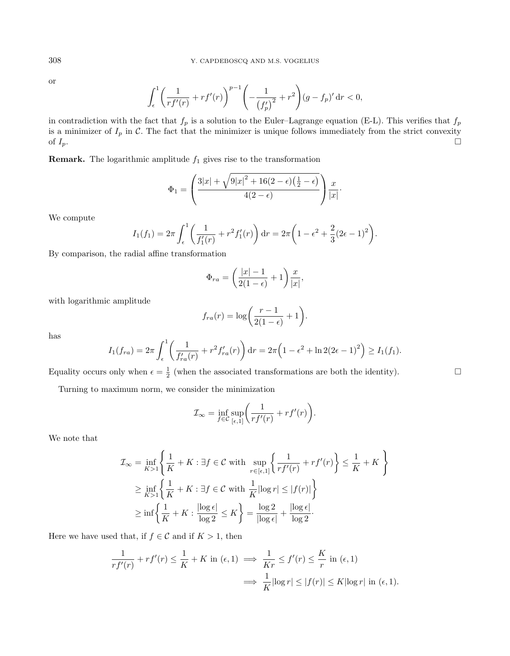or

$$
\int_{\epsilon}^{1} \left( \frac{1}{r f'(r)} + r f'(r) \right)^{p-1} \left( -\frac{1}{\left( f'_p \right)^2} + r^2 \right) (g - f_p)' \, \mathrm{d} r < 0,
$$

in contradiction with the fact that  $f_p$  is a solution to the Euler–Lagrange equation (E-L). This verifies that  $f_p$ is a minimizer of  $I_p$  in C. The fact that the minimizer is unique follows immediately from the strict convexity of  $I_p$ .

**Remark.** The logarithmic amplitude  $f_1$  gives rise to the transformation

$$
\Phi_1 = \left(\frac{3|x| + \sqrt{9|x|^2 + 16(2-\epsilon)\left(\frac{1}{2}-\epsilon\right)}}{4(2-\epsilon)}\right)\frac{x}{|x|}.
$$

We compute

$$
I_1(f_1) = 2\pi \int_{\epsilon}^1 \left( \frac{1}{f_1'(r)} + r^2 f_1'(r) \right) dr = 2\pi \left( 1 - \epsilon^2 + \frac{2}{3} (2\epsilon - 1)^2 \right).
$$

By comparison, the radial affine transformation

$$
\Phi_{ra} = \left(\frac{|x| - 1}{2(1 - \epsilon)} + 1\right) \frac{x}{|x|},
$$

with logarithmic amplitude

$$
f_{ra}(r) = \log\bigg(\frac{r-1}{2(1-\epsilon)} + 1\bigg).
$$

has

$$
I_1(f_{ra}) = 2\pi \int_{\epsilon}^{1} \left( \frac{1}{f'_{ra}(r)} + r^2 f'_{ra}(r) \right) dr = 2\pi \left( 1 - \epsilon^2 + \ln 2(2\epsilon - 1)^2 \right) \ge I_1(f_1).
$$

Equality occurs only when  $\epsilon = \frac{1}{2}$  (when the associated transformations are both the identity).

Turning to maximum norm, we consider the minimization

$$
\mathcal{I}_{\infty} = \inf_{f \in \mathcal{C}} \sup_{[\epsilon,1]} \left( \frac{1}{r f'(r)} + r f'(r) \right).
$$

We note that

$$
\mathcal{I}_{\infty} = \inf_{K>1} \left\{ \frac{1}{K} + K : \exists f \in \mathcal{C} \text{ with } \sup_{r \in [\epsilon, 1]} \left\{ \frac{1}{r f'(r)} + r f'(r) \right\} \le \frac{1}{K} + K \right\}
$$
  
\n
$$
\ge \inf_{K>1} \left\{ \frac{1}{K} + K : \exists f \in \mathcal{C} \text{ with } \frac{1}{K} |\log r| \le |f(r)| \right\}
$$
  
\n
$$
\ge \inf \left\{ \frac{1}{K} + K : \frac{|\log \epsilon|}{\log 2} \le K \right\} = \frac{\log 2}{|\log \epsilon|} + \frac{|\log \epsilon|}{\log 2}.
$$

Here we have used that, if  $f \in \mathcal{C}$  and if  $K > 1$ , then

$$
\frac{1}{rf'(r)} + rf'(r) \le \frac{1}{K} + K \text{ in } (\epsilon, 1) \implies \frac{1}{Kr} \le f'(r) \le \frac{K}{r} \text{ in } (\epsilon, 1)
$$

$$
\implies \frac{1}{K} |\log r| \le |f(r)| \le K |\log r| \text{ in } (\epsilon, 1).
$$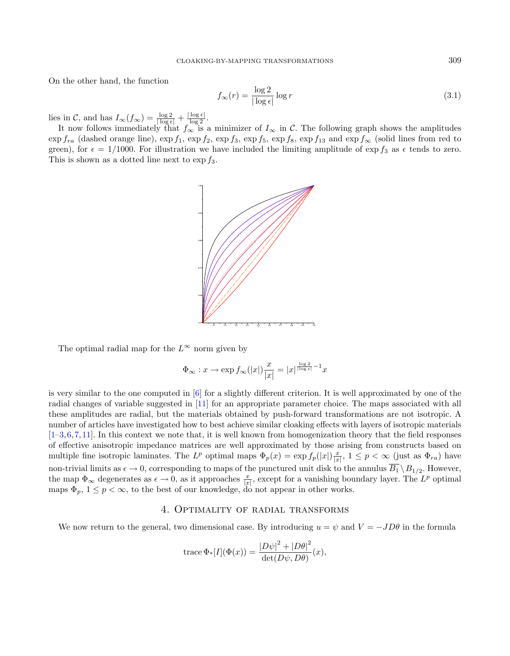On the other hand, the function

$$
f_{\infty}(r) = \frac{\log 2}{|\log \epsilon|} \log r \tag{3.1}
$$

lies in C, and has  $I_{\infty}(f_{\infty}) = \frac{\log 2}{|\log \epsilon|} + \frac{|\log \epsilon|}{\log 2}$ .

It now follows immediately that  $f_{\infty}$  is a minimizer of  $I_{\infty}$  in C. The following graph shows the amplitudes  $\exp f_{ra}$  (dashed orange line),  $\exp f_1$ ,  $\exp f_2$ ,  $\exp f_3$ ,  $\exp f_5$ ,  $\exp f_8$ ,  $\exp f_{13}$  and  $\exp f_{\infty}$  (solid lines from red to green), for  $\epsilon = 1/1000$ . For illustration we have included the limiting amplitude of  $\exp f_3$  as  $\epsilon$  tends to zero. This is shown as a dotted line next to  $\exp f_3$ .



The optimal radial map for the  $L^{\infty}$  norm given by

$$
\Phi_{\infty}: x \to \exp f_{\infty}(|x|) \frac{x}{|x|} = |x|^{\frac{\log 2}{|\log \epsilon|} - 1} x
$$

is very similar to the one computed in [\[6\]](#page-12-3) for a slightly different criterion. It is well approximated by one of the radial changes of variable suggested in [\[11\]](#page-13-1) for an appropriate parameter choice. The maps associated with all these amplitudes are radial, but the materials obtained by push-forward transformations are not isotropic. A number of articles have investigated how to best achieve similar cloaking effects with layers of isotropic materials  $[1-3,6,7,11]$  $[1-3,6,7,11]$  $[1-3,6,7,11]$  $[1-3,6,7,11]$  $[1-3,6,7,11]$ . In this context we note that, it is well known from homogenization theory that the field responses of effective anisotropic impedance matrices are well approximated by those arising from constructs based on multiple fine isotropic laminates. The  $L^p$  optimal maps  $\Phi_p(x) = \exp f_p(|x|) \frac{x}{|x|}$ ,  $1 \leq p < \infty$  (just as  $\Phi_{ra}$ ) have non-trivial limits as  $\epsilon \to 0$ , corresponding to maps of the punctured unit disk to the annulus  $\overline{B_1} \setminus B_{1/2}$ . However, the map  $\Phi_{\infty}$  degenerates as  $\epsilon \to 0$ , as it approaches  $\frac{x}{|x|}$ , except for a vanishing boundary layer. The  $L^p$  optimal maps  $\Phi_p$ ,  $1 \leq p < \infty$ , to the best of our knowledge, do not appear in other works.

#### 4. Optimality of radial transforms

We now return to the general, two dimensional case. By introducing  $u = \psi$  and  $V = -JD\theta$  in the formula

trace 
$$
\Phi
$$
<sub>\*</sub>[*I*]( $\Phi$ (*x*)) =  $\frac{|D\psi|^2 + |D\theta|^2}{\det(D\psi, D\theta)}(x)$ ,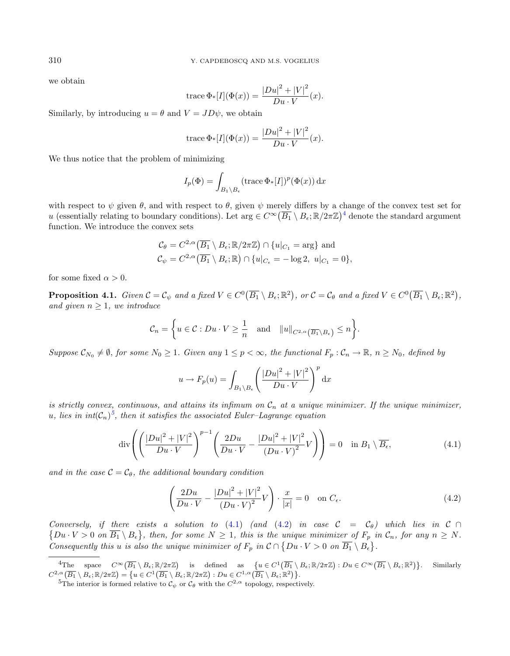we obtain

trace 
$$
\Phi
$$
<sub>\*</sub>[*I*]( $\Phi$ (*x*)) =  $\frac{|Du|^2 + |V|^2}{Du \cdot V}$ (*x*).

Similarly, by introducing  $u = \theta$  and  $V = JD\psi$ , we obtain

trace 
$$
\Phi
$$
<sub>\*</sub>[*I*]( $\Phi$ (*x*)) =  $\frac{|Du|^2 + |V|^2}{Du \cdot V}$ (*x*).

We thus notice that the problem of minimizing

$$
I_p(\Phi) = \int_{B_1 \setminus B_{\epsilon}} (\operatorname{trace} \Phi_*[I])^p(\Phi(x)) \, dx
$$

with respect to  $\psi$  given  $\theta$ , and with respect to  $\theta$ , given  $\psi$  merely differs by a change of the convex test set for u (essentially relating to boundary conditions). Let  $\arg \in C^{\infty}(\overline{B_1} \setminus B_{\epsilon}; \mathbb{R}/2\pi\mathbb{Z})^4$  $\arg \in C^{\infty}(\overline{B_1} \setminus B_{\epsilon}; \mathbb{R}/2\pi\mathbb{Z})^4$  denote the standard argument function. We introduce the convex sets

$$
C_{\theta} = C^{2,\alpha}(\overline{B_1} \setminus B_{\epsilon}; \mathbb{R}/2\pi\mathbb{Z}) \cap \{u|_{C_1} = \text{arg}\} \text{ and}
$$
  

$$
C_{\psi} = C^{2,\alpha}(\overline{B_1} \setminus B_{\epsilon}; \mathbb{R}) \cap \{u|_{C_{\epsilon}} = -\log 2, u|_{C_1} = 0\},
$$

<span id="page-7-4"></span>for some fixed  $\alpha > 0$ .

**Proposition 4.1.** Given  $C = C_{\psi}$  and a fixed  $V \in C^0(\overline{B_1} \setminus B_{\epsilon}; \mathbb{R}^2)$ , or  $C = C_{\theta}$  and a fixed  $V \in C^0(\overline{B_1} \setminus B_{\epsilon}; \mathbb{R}^2)$ , and given  $n \geq 1$ , we introduce

$$
\mathcal{C}_n = \left\{ u \in \mathcal{C} : Du \cdot V \ge \frac{1}{n} \quad \text{and} \quad ||u||_{C^{2,\alpha}(\overline{B_1} \setminus B_\epsilon)} \le n \right\}.
$$

Suppose  $\mathcal{C}_{N_0} \neq \emptyset$ , for some  $N_0 \geq 1$ . Given any  $1 \leq p < \infty$ , the functional  $F_p : \mathcal{C}_n \to \mathbb{R}$ ,  $n \geq N_0$ , defined by

<span id="page-7-3"></span><span id="page-7-2"></span>
$$
u \to F_p(u) = \int_{B_1 \backslash B_{\epsilon}} \left( \frac{|Du|^2 + |V|^2}{Du \cdot V} \right)^p dx
$$

is strictly convex, continuous, and attains its infimum on  $C_n$  at a unique minimizer. If the unique minimizer, u, lies in  $\text{int}(\mathcal{C}_n)^5$  $\text{int}(\mathcal{C}_n)^5$ , then it satisfies the associated Euler–Lagrange equation

$$
\operatorname{div}\left(\left(\frac{|Du|^2+|V|^2}{Du\cdot V}\right)^{p-1}\left(\frac{2Du}{Du\cdot V}-\frac{|Du|^2+|V|^2}{(Du\cdot V)^2}V\right)\right)=0\quad\text{in }B_1\setminus\overline{B_\epsilon},\tag{4.1}
$$

<span id="page-7-1"></span><span id="page-7-0"></span>and in the case  $\mathcal{C} = \mathcal{C}_{\theta}$ , the additional boundary condition

$$
\left(\frac{2Du}{Du\cdot V} - \frac{|Du|^2 + |V|^2}{(Du\cdot V)^2}V\right)\cdot\frac{x}{|x|} = 0 \quad \text{on } C_{\epsilon}.
$$
\n(4.2)

Conversely, if there exists a solution to [\(4.1\)](#page-7-2) (and [\(4.2\)](#page-7-3) in case  $\mathcal{C} = \mathcal{C}_{\theta}$ ) which lies in  $\mathcal{C} \cap$  $\{Du\cdot V>0 \text{ on } \overline{B_1}\setminus B_\epsilon\},\$  then, for some  $N\geq 1$ , this is the unique minimizer of  $F_p$  in  $\mathcal{C}_n$ , for any  $n\geq N$ . Consequently this u is also the unique minimizer of  $F_p$  in  $\mathcal{C} \cap \{Du \cdot V > 0 \text{ on } \overline{B_1} \setminus B_\epsilon\}.$ 

 $\overline{A_{\text{The}}} \quad \text{ space } \quad C^{\infty}\left(\overline{B_1} \setminus B_{\epsilon}; \mathbb{R}/2\pi\mathbb{Z}\right) \quad \text{is} \quad \text{defined} \quad \text{as} \quad \left\{u \in C^1\left(\overline{B_1} \setminus B_{\epsilon}; \mathbb{R}/2\pi\mathbb{Z}\right) : Du \in C^{\infty}\left(\overline{B_1} \setminus B_{\epsilon}; \mathbb{R}^2\right) \right\}. \quad \text{Similarly}$  $C^{2,\alpha}(\overline{B_1} \setminus B_\epsilon; \mathbb{R}/2\pi\mathbb{Z}) = \{u \in C^1(\overline{B_1} \setminus B_\epsilon; \mathbb{R}/2\pi\mathbb{Z}) : Du \in C^{1,\alpha}(\overline{B_1} \setminus B_\epsilon; \mathbb{R}^2) \}.$ 

<sup>&</sup>lt;sup>5</sup>The interior is formed relative to  $\mathcal{C}_{\psi}$  or  $\mathcal{C}_{\theta}$  with the  $C^{2,\alpha}$  topology, respectively.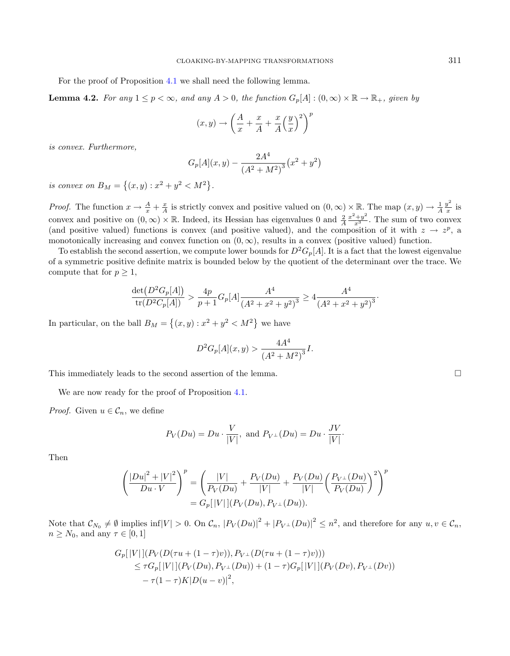For the proof of Proposition [4.1](#page-7-4) we shall need the following lemma.

**Lemma 4.2.** For any  $1 \leq p < \infty$ , and any  $A > 0$ , the function  $G_p[A] : (0, \infty) \times \mathbb{R} \to \mathbb{R}_+$ , given by

$$
(x,y) \rightarrow \left(\frac{A}{x} + \frac{x}{A} + \frac{x}{A} \left(\frac{y}{x}\right)^2\right)
$$

 $\overline{p}$ 

is convex. Furthermore,

$$
G_p[A](x,y) - \frac{2A^4}{(A^2 + M^2)^3} (x^2 + y^2)
$$

is convex on  $B_M = \{(x, y) : x^2 + y^2 < M^2\}.$ 

*Proof.* The function  $x \to \frac{A}{x} + \frac{x}{A}$  is strictly convex and positive valued on  $(0, \infty) \times \mathbb{R}$ . The map  $(x, y) \to \frac{1}{A} \frac{y^2}{x}$  $\frac{y}{x}$  is convex and positive on  $(0, \infty) \times \mathbb{R}$ . Indeed, its Hessian has eigenvalues 0 and  $\frac{2}{A} \frac{x^2 + y^2}{x^3}$ . The sum of two convex (and positive valued) functions is convex (and positive valued), and the composition of it with  $z \to z^p$ , a monotonically increasing and convex function on  $(0, \infty)$ , results in a convex (positive valued) function.

To establish the second assertion, we compute lower bounds for  $D^2G_p[A]$ . It is a fact that the lowest eigenvalue of a symmetric positive definite matrix is bounded below by the quotient of the determinant over the trace. We compute that for  $p \geq 1$ ,

$$
\frac{\det(D^2 G_p[A])}{\operatorname{tr}(D^2 C_p[A])} > \frac{4p}{p+1} G_p[A] \frac{A^4}{(A^2 + x^2 + y^2)^3} \ge 4 \frac{A^4}{(A^2 + x^2 + y^2)^3}.
$$

In particular, on the ball  $B_M = \{(x, y) : x^2 + y^2 < M^2\}$  we have

$$
D^{2}G_{p}[A](x,y) > \frac{4A^{4}}{(A^{2}+M^{2})^{3}}I.
$$

This immediately leads to the second assertion of the lemma.

We are now ready for the proof of Proposition [4.1.](#page-7-4)

*Proof.* Given  $u \in \mathcal{C}_n$ , we define

$$
P_V(Du) = Du \cdot \frac{V}{|V|}
$$
, and  $P_{V^{\perp}}(Du) = Du \cdot \frac{JV}{|V|}$ .

Then

$$
\left(\frac{|Du|^2+|V|^2}{Du\cdot V}\right)^p = \left(\frac{|V|}{P_V(Du)} + \frac{P_V(Du)}{|V|} + \frac{P_V(Du)}{|V|}\left(\frac{P_{V^\perp}(Du)}{P_V(Du)}\right)^2\right)^p
$$
  
=  $G_p[|V|](P_V(Du), P_{V^\perp}(Du)).$ 

Note that  $\mathcal{C}_{N_0} \neq \emptyset$  implies inf $|V| > 0$ . On  $\mathcal{C}_n$ ,  $|P_V(Du)|^2 + |P_{V^{\perp}}(Du)|^2 \leq n^2$ , and therefore for any  $u, v \in \mathcal{C}_n$ ,  $n \geq N_0$ , and any  $\tau \in [0,1]$ 

$$
G_p[|V|](P_V(D(\tau u + (1 - \tau)v)), P_{V^{\perp}}(D(\tau u + (1 - \tau)v)))
$$
  
\n
$$
\leq \tau G_p[|V|](P_V(Du), P_{V^{\perp}}(Du)) + (1 - \tau)G_p[|V|](P_V(Dv), P_{V^{\perp}}(Dv))
$$
  
\n
$$
- \tau (1 - \tau)K|D(u - v)|^2,
$$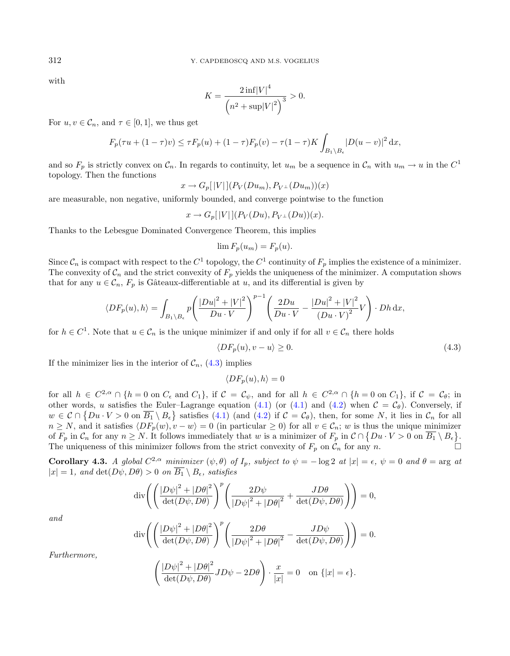with

$$
K = \frac{2 \inf |V|^4}{\left(n^2 + \sup |V|^2\right)^3} > 0.
$$

For  $u, v \in \mathcal{C}_n$ , and  $\tau \in [0, 1]$ , we thus get

$$
F_p(\tau u + (1 - \tau)v) \le \tau F_p(u) + (1 - \tau)F_p(v) - \tau (1 - \tau)K \int_{B_1 \setminus B_\epsilon} |D(u - v)|^2 dx,
$$

and so  $F_p$  is strictly convex on  $\mathcal{C}_n$ . In regards to continuity, let  $u_m$  be a sequence in  $\mathcal{C}_n$  with  $u_m \to u$  in the  $C^1$ topology. Then the functions

$$
x \to G_p[|V|](P_V(Du_m), P_{V^{\perp}}(Du_m))(x)
$$

are measurable, non negative, uniformly bounded, and converge pointwise to the function

$$
x \to G_p[|V|](P_V(Du), P_{V^{\perp}}(Du))(x).
$$

Thanks to the Lebesgue Dominated Convergence Theorem, this implies

<span id="page-9-0"></span>
$$
\lim F_p(u_m) = F_p(u).
$$

Since  $\mathcal{C}_n$  is compact with respect to the  $C^1$  topology, the  $C^1$  continuity of  $F_p$  implies the existence of a minimizer. The convexity of  $\mathcal{C}_n$  and the strict convexity of  $F_p$  yields the uniqueness of the minimizer. A computation shows that for any  $u \in \mathcal{C}_n$ ,  $F_p$  is Gâteaux-differentiable at u, and its differential is given by

$$
\langle DF_p(u), h \rangle = \int_{B_1 \setminus B_{\epsilon}} p \left( \frac{|Du|^2 + |V|^2}{Du \cdot V} \right)^{p-1} \left( \frac{2Du}{Du \cdot V} - \frac{|Du|^2 + |V|^2}{(Du \cdot V)^2} V \right) \cdot Dh \, dx,
$$

for  $h \in C^1$ . Note that  $u \in \mathcal{C}_n$  is the unique minimizer if and only if for all  $v \in \mathcal{C}_n$  there holds

$$
\langle DF_p(u), v - u \rangle \ge 0. \tag{4.3}
$$

If the minimizer lies in the interior of  $C_n$ , [\(4.3\)](#page-9-0) implies

$$
\langle DF_p(u), h \rangle = 0
$$

for all  $h \in C^{2,\alpha} \cap \{h=0 \text{ on } C_{\epsilon} \text{ and } C_1\}$ , if  $\mathcal{C} = \mathcal{C}_{\psi}$ , and for all  $h \in C^{2,\alpha} \cap \{h=0 \text{ on } C_1\}$ , if  $\mathcal{C} = \mathcal{C}_{\theta}$ ; in other words, *u* satisfies the Euler–Lagrange equation [\(4.1\)](#page-7-2) (or (4.1) and [\(4.2\)](#page-7-3) when  $C = C_{\theta}$ ). Conversely, if  $w \in \mathcal{C} \cap \{Du \cdot V > 0 \text{ on } \overline{B_1} \setminus B_\epsilon\}$  satisfies [\(4.1\)](#page-7-2) (and [\(4.2\)](#page-7-3) if  $\mathcal{C} = \mathcal{C}_\theta$ ), then, for some N, it lies in  $\mathcal{C}_n$  for all  $n \geq N$ , and it satisfies  $\langle DF_p(w), v - w \rangle = 0$  (in particular  $\geq 0$ ) for all  $v \in C_n$ ; w is thus the unique minimizer of  $F_p$  in  $\mathcal{C}_n$  for any  $n \geq N$ . It follows immediately that w is a minimizer of  $F_p$  in  $\mathcal{C} \cap \{Du \cdot V > 0$  on  $\overline{B_1} \setminus B_\epsilon\}$ . The uniqueness of this minimizer follows from the strict convexity of  $F_p$  on  $\mathcal{C}_n$  for any n.

<span id="page-9-1"></span>**Corollary 4.3.** A global  $C^{2,\alpha}$  minimizer  $(\psi, \theta)$  of  $I_p$ , subject to  $\psi = -\log 2$  at  $|x| = \epsilon$ ,  $\psi = 0$  and  $\theta = \arg$  at  $|x| = 1$ , and  $\det(D\psi, D\theta) > 0$  on  $\overline{B_1} \setminus B_{\epsilon}$ , satisfies

$$
\operatorname{div}\left(\left(\frac{|D\psi|^2 + |D\theta|^2}{\det(D\psi, D\theta)}\right)^p \left(\frac{2D\psi}{|D\psi|^2 + |D\theta|^2} + \frac{JD\theta}{\det(D\psi, D\theta)}\right)\right) = 0,
$$

and

$$
\operatorname{div}\left(\left(\frac{|D\psi|^2+|D\theta|^2}{\det(D\psi,D\theta)}\right)^p\left(\frac{2D\theta}{|D\psi|^2+|D\theta|^2}-\frac{JD\psi}{\det(D\psi,D\theta)}\right)\right)=0.
$$

Furthermore,

$$
\left(\frac{|D\psi|^2 + |D\theta|^2}{\det(D\psi, D\theta)} JD\psi - 2D\theta\right) \cdot \frac{x}{|x|} = 0 \text{ on } \{|x| = \epsilon\}.
$$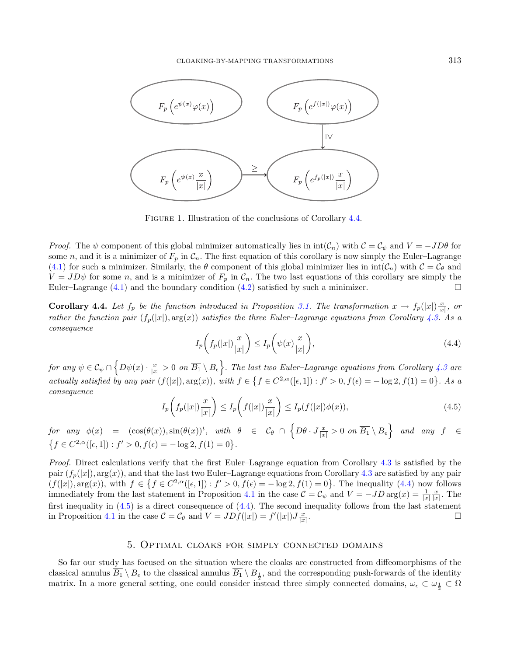

<span id="page-10-1"></span>FIGURE 1. Illustration of the conclusions of Corollary [4.4.](#page-10-0)

<span id="page-10-2"></span>*Proof.* The  $\psi$  component of this global minimizer automatically lies in  $\text{int}(\mathcal{C}_n)$  with  $\mathcal{C} = \mathcal{C}_{\psi}$  and  $V = -JD\theta$  for some n, and it is a minimizer of  $F_p$  in  $C_n$ . The first equation of this corollary is now simply the Euler–Lagrange [\(4.1\)](#page-7-2) for such a minimizer. Similarly, the  $\theta$  component of this global minimizer lies in  $\text{int}(\mathcal{C}_n)$  with  $\mathcal{C} = \mathcal{C}_{\theta}$  and  $V = JD\psi$  for some n, and is a minimizer of  $F_p$  in  $\mathcal{C}_n$ . The two last equations of this corollary are simply the Euler–Lagrange  $(4.1)$  and the boundary condition  $(4.2)$  satisfied by such a minimizer.

<span id="page-10-0"></span>**Corollary 4.4.** Let  $f_p$  be the function introduced in Proposition [3.1.](#page-3-0) The transformation  $x \to f_p(|x|) \frac{x}{|x|}$ , or rather the function pair  $(f_p(|x|), \arg(x))$  satisfies the three Euler–Lagrange equations from Corollary [4.3.](#page-9-1) As a consequence

$$
I_p\left(f_p(|x|)\frac{x}{|x|}\right) \le I_p\left(\psi(x)\frac{x}{|x|}\right),\tag{4.4}
$$

 ${\it for\ any\ } \psi \in {\cal C}_\psi \cap \Big\{ D\psi(x) \cdot \frac{x}{|x|} > 0 \,\, {\it on}\,\, \overline{B_1} \setminus B_\epsilon \Big\}.$  The last two Euler–Lagrange equations from Corollary [4.3](#page-9-1) are actually satisfied by any pair  $(f(|x|), arg(x))$ , with  $f \in \{f \in C^{2,\alpha}([\epsilon, 1]) : f' > 0, f(\epsilon) = -\log 2, f(1) = 0\}$ . As a consequence

$$
I_p\left(f_p(|x|)\frac{x}{|x|}\right) \le I_p\left(f(|x|)\frac{x}{|x|}\right) \le I_p(f(|x|)\phi(x)),\tag{4.5}
$$

 $\begin{array}{lll} \textit{for any $\phi(x)$} & = & (\cos(\theta(x)),\sin(\theta(x))^{t}, \textit{ with } \theta \in \mathcal{C}_\theta \cap \Big\{ D\theta \cdot J\frac{x}{|x|} > 0 \textit{ on } \overline{B_1} \setminus B_\epsilon \Big\} \textit{ and any } f \in \mathcal{C}_\theta \end{array}$  ${f \in C^{2,\alpha}([\epsilon,1]) : f' > 0, f(\epsilon) = -\log 2, f(1) = 0}.$ 

Proof. Direct calculations verify that the first Euler–Lagrange equation from Corollary [4.3](#page-9-1) is satisfied by the pair  $(f_p(|x|), \arg(x))$ , and that the last two Euler–Lagrange equations from Corollary [4.3](#page-9-1) are satisfied by any pair  $(f(|x|), \arg(x))$ , with  $f \in \{f \in C^{2,\alpha}([\epsilon, 1]) : f' > 0, f(\epsilon) = -\log 2, f(1) = 0\}$ . The inequality  $(4.4)$  now follows immediately from the last statement in Proposition [4.1](#page-7-4) in the case  $\mathcal{C} = \mathcal{C}_{\psi}$  and  $V = -JD \arg(x) = \frac{1}{|x|} \frac{x}{|x|}$ . The first inequality in  $(4.5)$  is a direct consequence of  $(4.4)$ . The second inequality follows from the last statement in Proposition [4.1](#page-7-4) in the case  $\mathcal{C} = \mathcal{C}_{\theta}$  and  $V = JDf(|x|) = f'(|x|)J\frac{x}{|x|}$ .

#### 5. Optimal cloaks for simply connected domains

So far our study has focused on the situation where the cloaks are constructed from diffeomorphisms of the classical annulus  $B_1 \setminus B_\epsilon$  to the classical annulus  $B_1 \setminus B_{\frac{1}{2}}$ , and the corresponding push-forwards of the identity matrix. In a more general setting, one could consider instead three simply connected domains,  $\omega_{\epsilon} \subset \omega_{\frac{1}{2}} \subset \Omega$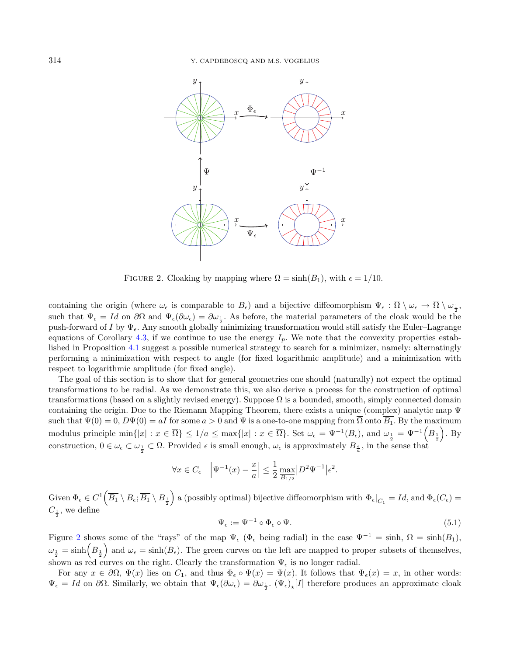<span id="page-11-0"></span>

FIGURE 2. Cloaking by mapping where  $\Omega = \sinh(B_1)$ , with  $\epsilon = 1/10$ .

containing the origin (where  $\omega_{\epsilon}$  is comparable to  $B_{\epsilon}$ ) and a bijective diffeomorphism  $\Psi_{\epsilon} : \Omega \setminus \omega_{\epsilon} \to \Omega \setminus \omega_{\frac{1}{2}}$ , such that  $\Psi_{\epsilon} = Id$  on  $\partial\Omega$  and  $\Psi_{\epsilon}(\partial\omega_{\epsilon}) = \partial\omega_{\frac{1}{2}}$ . As before, the material parameters of the cloak would be the push-forward of I by  $\Psi_{\epsilon}$ . Any smooth globally minimizing transformation would still satisfy the Euler–Lagrange equations of Corollary [4.3,](#page-9-1) if we continue to use the energy  $I_p$ . We note that the convexity properties established in Proposition [4.1](#page-7-4) suggest a possible numerical strategy to search for a minimizer, namely: alternatingly performing a minimization with respect to angle (for fixed logarithmic amplitude) and a minimization with respect to logarithmic amplitude (for fixed angle).

The goal of this section is to show that for general geometries one should (naturally) not expect the optimal transformations to be radial. As we demonstrate this, we also derive a process for the construction of optimal transformations (based on a slightly revised energy). Suppose  $\Omega$  is a bounded, smooth, simply connected domain containing the origin. Due to the Riemann Mapping Theorem, there exists a unique (complex) analytic map Ψ such that  $\Psi(0) = 0$ ,  $D\Psi(0) = aI$  for some  $a > 0$  and  $\Psi$  is a one-to-one mapping from  $\overline{\Omega}$  onto  $\overline{B_1}$ . By the maximum modulus principle  $\min\{|x| : x \in \overline{\Omega}\} \leq 1/a \leq \max\{|x| : x \in \overline{\Omega}\}$ . Set  $\omega_{\epsilon} = \Psi^{-1}(B_{\epsilon})$ , and  $\omega_{\frac{1}{2}} = \Psi^{-1}(B_{\frac{1}{2}})$ . By construction,  $0 \in \omega_{\epsilon} \subset \omega_{\frac{1}{2}} \subset \Omega$ . Provided  $\epsilon$  is small enough,  $\omega_{\epsilon}$  is approximately  $B_{\frac{\epsilon}{a}}$ , in the sense that

$$
\forall x \in C_{\epsilon} \quad \left| \Psi^{-1}(x) - \frac{x}{a} \right| \le \frac{1}{2} \max_{\overline{B_{1/2}}} |D^2 \Psi^{-1}| \epsilon^2.
$$

 $\text{Given } \Phi_{\epsilon} \in C^{1}(\overline{B_{1}} \setminus B_{\epsilon}; \overline{B_{1}} \setminus B_{\frac{1}{2}})$  a (possibly optimal) bijective diffeomorphism with  $\Phi_{\epsilon}|_{C_{1}} = Id$ , and  $\Phi_{\epsilon}(C_{\epsilon}) =$  $C_{\frac{1}{2}}$ , we define

$$
\Psi_{\epsilon} := \Psi^{-1} \circ \Phi_{\epsilon} \circ \Psi.
$$
\n(5.1)

Figure [2](#page-11-0) shows some of the "rays" of the map  $\Psi_{\epsilon}$  ( $\Phi_{\epsilon}$  being radial) in the case  $\Psi^{-1} = \sinh$ ,  $\Omega = \sinh(B_1)$ ,  $\omega_{\frac{1}{2}} = \sinh(B_{\frac{1}{2}})$  and  $\omega_{\epsilon} = \sinh(B_{\epsilon})$ . The green curves on the left are mapped to proper subsets of themselves, shown as red curves on the right. Clearly the transformation  $\Psi_{\epsilon}$  is no longer radial.

For any  $x \in \partial\Omega$ ,  $\Psi(x)$  lies on  $C_1$ , and thus  $\Phi_{\epsilon} \circ \Psi(x) = \Psi(x)$ . It follows that  $\Psi_{\epsilon}(x) = x$ , in other words:  $\Psi_{\epsilon} = Id$  on  $\partial\Omega$ . Similarly, we obtain that  $\Psi_{\epsilon}(\partial \omega_{\epsilon}) = \partial \omega_{\frac{1}{2}}$ .  $(\Psi_{\epsilon})_{\star}[I]$  therefore produces an approximate cloak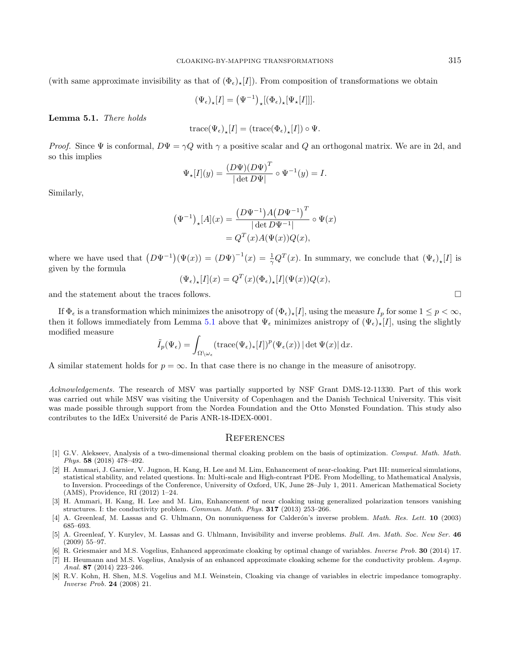(with same approximate invisibility as that of  $(\Phi_{\epsilon})_{\star}[I]$ ). From composition of transformations we obtain

$$
(\Psi_{\epsilon})_{\star}[I] = (\Psi^{-1})_{\star}[(\Phi_{\epsilon})_{\star}[\Psi_{\star}[I]]].
$$

<span id="page-12-7"></span>Lemma 5.1. There holds

$$
\operatorname{trace}(\Psi_{\epsilon})_{\star}[I] = (\operatorname{trace}(\Phi_{\epsilon})_{\star}[I]) \circ \Psi.
$$

*Proof.* Since  $\Psi$  is conformal,  $D\Psi = \gamma Q$  with  $\gamma$  a positive scalar and Q an orthogonal matrix. We are in 2d, and so this implies

$$
\Psi_{\star}[I](y) = \frac{(D\Psi)(D\Psi)^{T}}{|\det D\Psi|} \circ \Psi^{-1}(y) = I.
$$

Similarly,

$$
\begin{aligned} \left(\Psi^{-1}\right)_\star[A](x) &= \frac{\left(D\Psi^{-1}\right)A\left(D\Psi^{-1}\right)^T}{|\det D\Psi^{-1}|} \circ \Psi(x) \\ &= Q^T(x)A(\Psi(x))Q(x), \end{aligned}
$$

where we have used that  $(D\Psi^{-1})(\Psi(x)) = (D\Psi)^{-1}(x) = \frac{1}{\gamma}Q^{T}(x)$ . In summary, we conclude that  $(\Psi_{\epsilon})_{\star}[I]$  is given by the formula

$$
(\Psi_{\epsilon})_{\star}[I](x) = Q^{T}(x)(\Phi_{\epsilon})_{\star}[I](\Psi(x))Q(x),
$$

and the statement about the traces follows.  $\Box$ 

<span id="page-12-6"></span>If  $\Phi_{\epsilon}$  is a transformation which minimizes the anisotropy of  $(\Phi_{\epsilon})_{*}[I]$ , using the measure  $I_p$  for some  $1 \leq p < \infty$ , then it follows immediately from Lemma [5.1](#page-12-7) above that  $\Psi_{\epsilon}$  minimizes anistropy of  $(\Psi_{\epsilon})_{\star}[I]$ , using the slightly modified measure

$$
\tilde{I}_p(\Psi_{\epsilon}) = \int_{\Omega \setminus \omega_{\epsilon}} (\text{trace}(\Psi_{\epsilon})_*[I])^p(\Psi_{\epsilon}(x)) |\det \Psi(x)| dx.
$$

A similar statement holds for  $p = \infty$ . In that case there is no change in the measure of anisotropy.

<span id="page-12-4"></span><span id="page-12-2"></span><span id="page-12-1"></span>Acknowledgements. The research of MSV was partially supported by NSF Grant DMS-12-11330. Part of this work was carried out while MSV was visiting the University of Copenhagen and the Danish Technical University. This visit was made possible through support from the Nordea Foundation and the Otto Mønsted Foundation. This study also contributes to the IdEx Université de Paris ANR-18-IDEX-0001.

#### **REFERENCES**

- <span id="page-12-5"></span><span id="page-12-3"></span><span id="page-12-0"></span>[1] G.V. Alekseev, Analysis of a two-dimensional thermal cloaking problem on the basis of optimization. Comput. Math. Math. Phys. 58 (2018) 478–492.
- [2] H. Ammari, J. Garnier, V. Jugnon, H. Kang, H. Lee and M. Lim, Enhancement of near-cloaking. Part III: numerical simulations, statistical stability, and related questions. In: Multi-scale and High-contrast PDE. From Modelling, to Mathematical Analysis, to Inversion. Proceedings of the Conference, University of Oxford, UK, June 28–July 1, 2011. American Mathematical Society (AMS), Providence, RI (2012) 1–24.
- [3] H. Ammari, H. Kang, H. Lee and M. Lim, Enhancement of near cloaking using generalized polarization tensors vanishing structures. I: the conductivity problem. Commun. Math. Phys. 317 (2013) 253–266.
- [4] A. Greenleaf, M. Lassas and G. Uhlmann, On nonuniqueness for Calderón's inverse problem. *Math. Res. Lett.* **10** (2003) 685–693.
- [5] A. Greenleaf, Y. Kurylev, M. Lassas and G. Uhlmann, Invisibility and inverse problems. Bull. Am. Math. Soc. New Ser. 46 (2009) 55–97.
- [6] R. Griesmaier and M.S. Vogelius, Enhanced approximate cloaking by optimal change of variables. *Inverse Prob.* 30 (2014) 17.
- [7] H. Heumann and M.S. Vogelius, Analysis of an enhanced approximate cloaking scheme for the conductivity problem. Asymp. Anal. 87 (2014) 223–246.
- [8] R.V. Kohn, H. Shen, M.S. Vogelius and M.I. Weinstein, Cloaking via change of variables in electric impedance tomography. Inverse Prob. 24 (2008) 21.